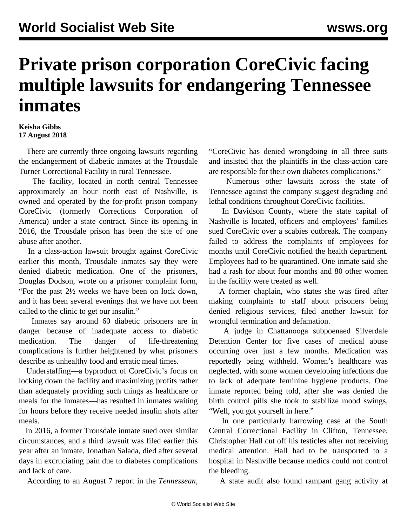## **Private prison corporation CoreCivic facing multiple lawsuits for endangering Tennessee inmates**

## **Keisha Gibbs 17 August 2018**

 There are currently three ongoing lawsuits regarding the endangerment of diabetic inmates at the Trousdale Turner Correctional Facility in rural Tennessee.

 The facility, located in north central Tennessee approximately an hour north east of Nashville, is owned and operated by the for-profit prison company CoreCivic (formerly Corrections Corporation of America) under a state contract. Since its opening in 2016, the Trousdale prison has been the site of one abuse after another.

 In a class-action lawsuit brought against CoreCivic earlier this month, Trousdale inmates say they were denied diabetic medication. One of the prisoners, Douglas Dodson, wrote on a prisoner complaint form, "For the past 2½ weeks we have been on lock down, and it has been several evenings that we have not been called to the clinic to get our insulin."

 Inmates say around 60 diabetic prisoners are in danger because of inadequate access to diabetic medication. The danger of life-threatening complications is further heightened by what prisoners describe as unhealthy food and erratic meal times.

 Understaffing—a byproduct of CoreCivic's focus on locking down the facility and maximizing profits rather than adequately providing such things as healthcare or meals for the inmates—has resulted in inmates waiting for hours before they receive needed insulin shots after meals.

 In 2016, a former Trousdale inmate sued over similar circumstances, and a third lawsuit was filed earlier this year after an inmate, Jonathan Salada, died after several days in excruciating pain due to diabetes complications and lack of care.

According to an August 7 report in the *Tennessean*,

"CoreCivic has denied wrongdoing in all three suits and insisted that the plaintiffs in the class-action care are responsible for their own diabetes complications."

 Numerous other lawsuits across the state of Tennessee against the company suggest degrading and lethal conditions throughout CoreCivic facilities.

 In Davidson County, where the state capital of Nashville is located, officers and employees' families sued CoreCivic over a scabies outbreak. The company failed to address the complaints of employees for months until CoreCivic notified the health department. Employees had to be quarantined. One inmate said she had a rash for about four months and 80 other women in the facility were treated as well.

 A former chaplain, who states she was fired after making complaints to staff about prisoners being denied religious services, filed another lawsuit for wrongful termination and defamation.

 A judge in Chattanooga subpoenaed Silverdale Detention Center for five cases of medical abuse occurring over just a few months. Medication was reportedly being withheld. Women's healthcare was neglected, with some women developing infections due to lack of adequate feminine hygiene products. One inmate reported being told, after she was denied the birth control pills she took to stabilize mood swings, "Well, you got yourself in here."

 In one particularly harrowing case at the South Central Correctional Facility in Clifton, Tennessee, Christopher Hall cut off his testicles after not receiving medical attention. Hall had to be transported to a hospital in Nashville because medics could not control the bleeding.

A state audit also found rampant gang activity at